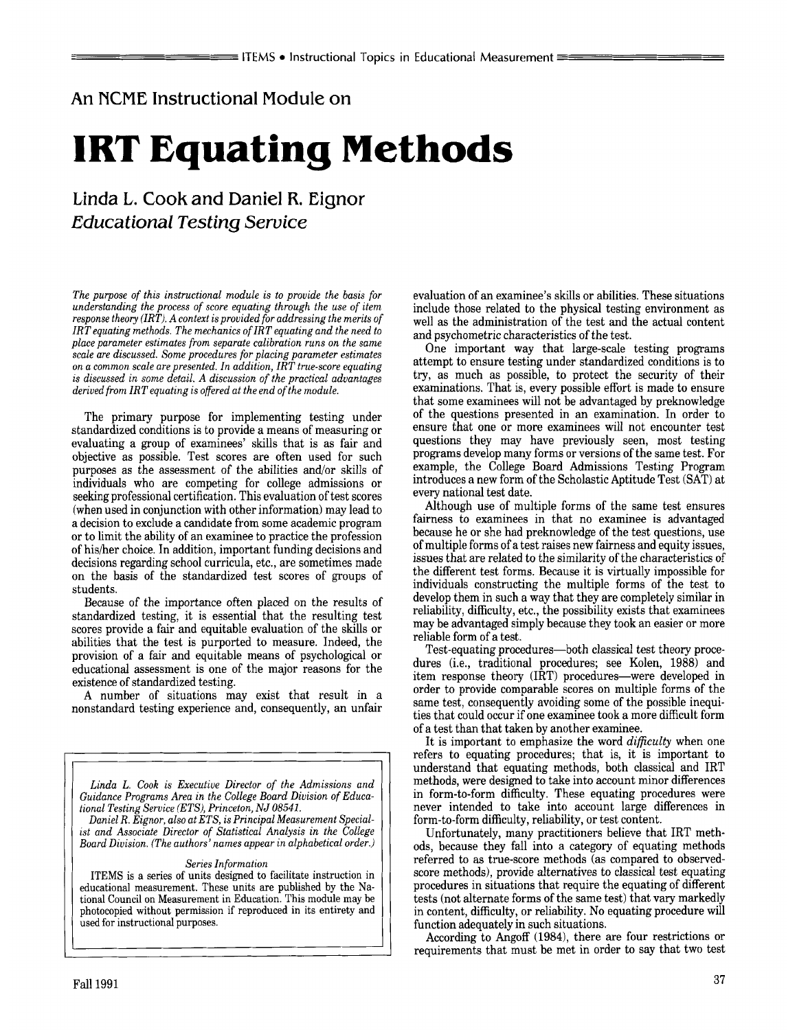# An NCME Instructional Module on

# **IRT Equating Methods**

Linda L. Cook and Daniel R. Eignor *Educational Testing Service* 

*The purpose of this instructional module is to provide the basis for understanding the process of score equating through the use of item response theory (IRT). A context is provided for addressing the merits of IRT equating methods. The mechanics of IRT equating and the need to place parameter estimates from separate calibration runs on the same place parameter estimates from separate calibration runs on the same scale are discussed. Some procedures for placing parameter estimates on a common scale are presented. In addition, IRT true-score equating is discussed in some detail. A discussion of the practical advantages derived from IRT equating is offered at the end of the module.* 

The primary purpose for implementing testing under standardized conditions is to provide a means of measuring or evaluating a group of examinees' skills that is as fair and objective as possible. Test scores are often used for such purposes as the assessment of the abilities and/or skills of individuals who are competing for college admissions or seeking professional certification. This evaluation of test scores (when used in conjunction with other information) may lead to a decision to exclude a candidate from some academic program or to limit the ability of an examinee to practice the profession of hisher choice. In addition, important funding decisions and decisions regarding school curricula, etc., are sometimes made on the basis of the standardized test scores of groups of students.

Because of the importance often placed on the results of standardized testing, it is essential that the resulting test scores provide a fair and equitable evaluation of the skills or abilities that the test is purported to measure. Indeed, the provision of a fair and equitable means of psychological or educational assessment is one of the major reasons for the existence of standardized testing.

A number of situations may exist that result in a nonstandard testing experience and, consequently, an unfair

*Linda L. Cook is Executive Director of the Admissions and Guidance Programs Area in the College Board Division of Educational Testing Service (ETS), Princeton, NJ 08541.* 

*Daniel R. Eignor, also at ETS, is Principal Measurement Specialist and Associate Director of Statistical Analysis in the College Board Division. (The authors' names appear in alphabetical order.)* 

#### *Series Information*

ITEMS is a series of units designed to facilitate instruction in educational measurement. These units are published by the National Council on Measurement in Education. This module may be photocopied without permission if reproduced in its entirety and used for instructional purposes.

evaluation of an examinee's skills or abilities. These situations include those related to the physical testing environment as well as the administration of the test and the actual content and psychometric characteristics of the test.

One important way that large-scale testing programs attempt to ensure testing under standardized conditions is to try, as much as possible, to protect the security of their examinations. That is, every possible effort is made to ensure that some examinees will not be advantaged by preknowledge of the questions presented in an examination. In order to ensure that one or more examinees will not encounter test questions they may have previously seen, most testing programs develop many forms or versions of the same test. For example, the College Board Admissions Testing Program introduces a new form of the Scholastic Aptitude Test (SAT) at every national test date.

Although use of multiple forms of the same test ensures fairness to examinees in that no examinee is advantaged because he or she had preknowledge of the test questions, use of multiple forms of a test raises new fairness and equity issues, issues that are related to the similarity of the characteristics of the different test forms. Because it is virtually impossible for individuals constructing the multiple forms of the test to develop them in such a way that they are completely similar in reliability, difficulty, etc., the possibility exists that examinees may be advantaged simply because they took an easier or more reliable form of a test.

Test-equating procedures—both classical test theory procedures (i.e., traditional procedures; see Kolen, 1988) and item response theory (IRT) procedures—were developed in order to provide comparable scores on multiple forms of the same test, consequently avoiding some of the possible inequities that could occur if one examinee took a more difficult form of a test than that taken by another examinee.

It is important to emphasize the word *difficulty* when one refers to equating procedures; that is, it is important to understand that equating methods, both classical and IRT methods, were designed to take into account minor differences in form-to-form difficulty. These equating procedures were never intended to take into account large differences in form-to-form difficulty, reliability, or test content.

Unfortunately, many practitioners believe that IRT methods, because they fall into a category of equating methods referred to **as** true-score methods (as compared to observedscore methods), provide alternatives to classical test equating procedures in situations that require the equating of different tests (not alternate forms of the same test) that vary markedly in content, difficulty, or reliability. No equating procedure will function adequately in such situations.

According to Angoff (1984), there are four restrictions or requirements that must be met in order to say that two test

 $\overline{\phantom{a}}$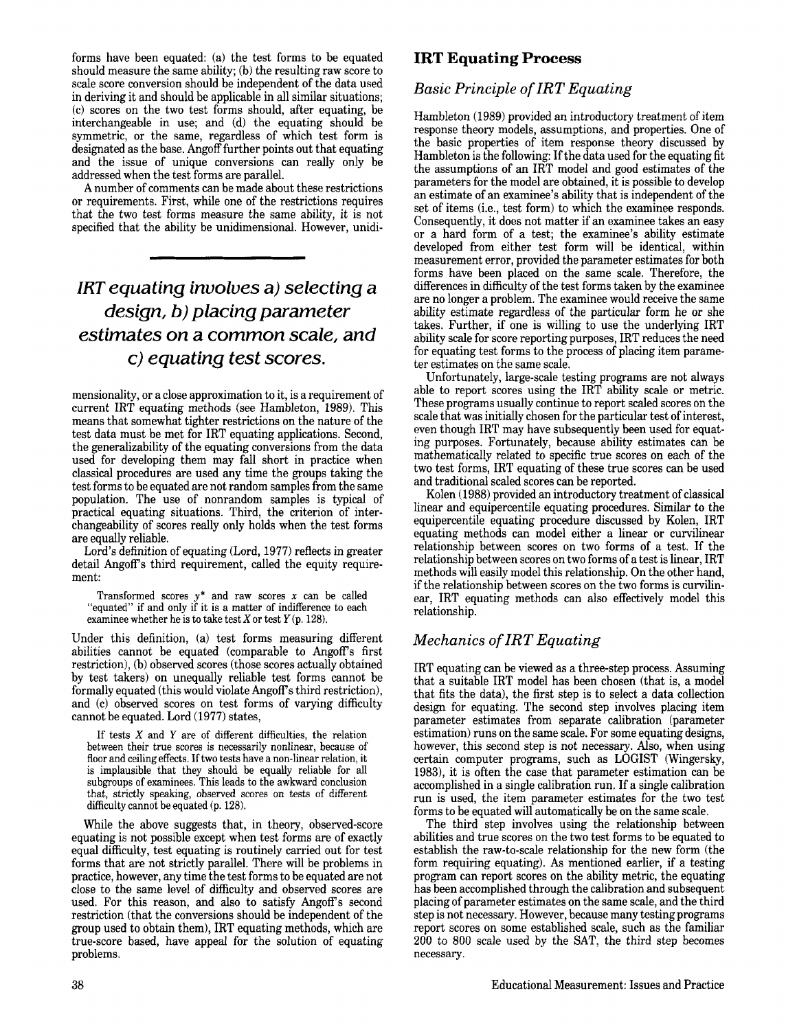forms have been equated: (a) the test forms to be equated should measure the same ability; (b) the resulting raw score to scale score conversion should be independent of the data used in deriving it and should be applicable in all similar situations; (c) scores on the two test forms should, after equating, be interchangeable in use; and (d) the equating should be symmetric, or the same, regardless of which test form is designated as the base. Angoff further points out that equating and the issue of unique conversions can really only be addressed when the test forms are parallel.

A number of comments can be made about these restrictions or requirements. First, while one of the restrictions requires that the two test forms measure the same ability, it is not specified that the ability be unidimensional. However, unidi-

# *IRT equating involves a) selecting a design, b) placing parameter estimates on a common scale, and c) equating test scores.*

mensionality, or a close approximation to it, is a requirement of current IRT equating methods (see Hambleton, 1989). This means that somewhat tighter restrictions on the nature of the test data must be met for IRT equating applications. Second, the generalizability of the equating conversions from the data used for developing them may fall short in practice when classical procedures are used any time the groups taking the test forms to be equated are not random samples from the same population. The use of nonrandom samples is typical of practical equating situations. Third, the criterion of interchangeability of scores really only holds when the test forms are equally reliable.

Lord's definition of equating (Lord, 1977) reflects in greater detail Angoff's third requirement, called the equity requirement:

Transformed scores y\* and raw scores *x* can be called "equated" if and only if it is a matter of indifference to each examinee whether he is to take test  $X$  or test  $Y$  (p. 128).

Under this definition, (a) test forms measuring different abilities cannot be equated (comparable to Angoff's first restriction), (b) observed scores (those scores actually obtained by test takers) on unequally reliable test forms cannot be formally equated (this would violate Angoff's third restriction), and (c) observed scores on test forms of varying difficulty cannot be equated. Lord (1977) states,

If tests *X* and *Y* are of different difficulties, the relation between their true scores is necessarily nonlinear, because of floor and ceiling effects. If two tests have a non-linear relation, it is implausible that they should be equally reliable for all subgroups of examinees. This leads to the awkward conclusion that, strictly speaking, observed scores on tests of different difficulty cannot be equated (p. 128).

While the above suggests that, in theory, observed-score equating is not possible except when test forms are of exactly equal difficulty, test equating is routinely carried out for test forms that are not strictly parallel. There will be problems in practice, however, any time the test forms to be equated are not close to the same level of difficulty and observed scores are used. For this reason, and also to satisfy Angoff's second restriction (that the conversions should be independent of the group used to obtain them), IRT equating methods, which are true-score based, have appeal for the solution of equating problems.

# **IRT Equating Process**

### *Basic Principle of IRT Equating*

Hambleton (1989) provided an introductory treatment of item response theory models, assumptions, and properties. One of the basic properties of item response theory discussed by Hambleton is the following: If the data used for the equating fit the assumptions of an IRT model and good estimates of the parameters for the model are obtained, it is possible to develop an estimate of an examinee's ability that is independent of the set of items (i.e., test form) to which the examinee responds. Consequently, it does not matter if an examinee takes an easy or a hard form of a test; the examinee's ability estimate developed from either test form will be identical, within measurement error, provided the parameter estimates for both forms have been placed on the same scale. Therefore, the differences in difficulty of the test forms taken by the examinee are no longer a problem. The examinee would receive the same ability estimate regardless of the particular form he or she takes. Further, if one is willing to use the underlying IRT ability scale for score reporting purposes, IRT reduces the need for equating test forms to the process of placing item parameter estimates on the same scale.

Unfortunately, large-scale testing programs are not always able to report scores using the IRT ability scale or metric. These programs usually continue to report scaled scores on the scale that was initially chosen for the particular test of interest, even though IRT may have subsequently been used for equating purposes. Fortunately, because ability estimates can be mathematically related to specific true scores on each of the two test forms, IRT equating of these true scores can be used and traditional scaled scores can be reported.

Kolen (1988) provided an introductory treatment of classical linear and equipercentile equating procedures. Similar to the equipercentile equating procedure discussed by Kolen, IRT equating methods can model either a linear or curvilinear relationship between scores on two forms of a test. If the relationship between scores on two forms of a test is linear, IRT methods will easily model this relationship. On the other hand, if the relationship between scores on the two forms is curvilinear, IRT equating methods can also effectively model this relationship.

### *Mechanics of IRT Equating*

IRT equating can be viewed as a three-step process. Assuming that a suitable IRT model has been chosen (that is, a model that fits the data), the first step is to select a data collection design for equating. The second step involves placing item parameter estimates from separate calibration (parameter estimation) runs on the same scale. For some equating designs, however, this second step is not necessary. Also, when using certain computer programs, such as LOGIST (Wingersky, 1983), it is often the case that parameter estimation can be accomplished in a single calibration run. If a single calibration run is used, the item parameter estimates for the two test forms to be equated will automatically be on the same scale.

The third step involves using the relationship between abilities and true scores on the two test forms to be equated to establish the raw-to-scale relationship for the new form (the form requiring equating). As mentioned earlier, if a testing program can report scores on the ability metric, the equating has been accomplished through the calibration and subsequent placing of parameter estimates on the same scale, and the third step is not necessary. However, because many testing programs report scores on some established scale, such as the familiar 200 to 800 scale used by the SAT, the third step becomes necessary.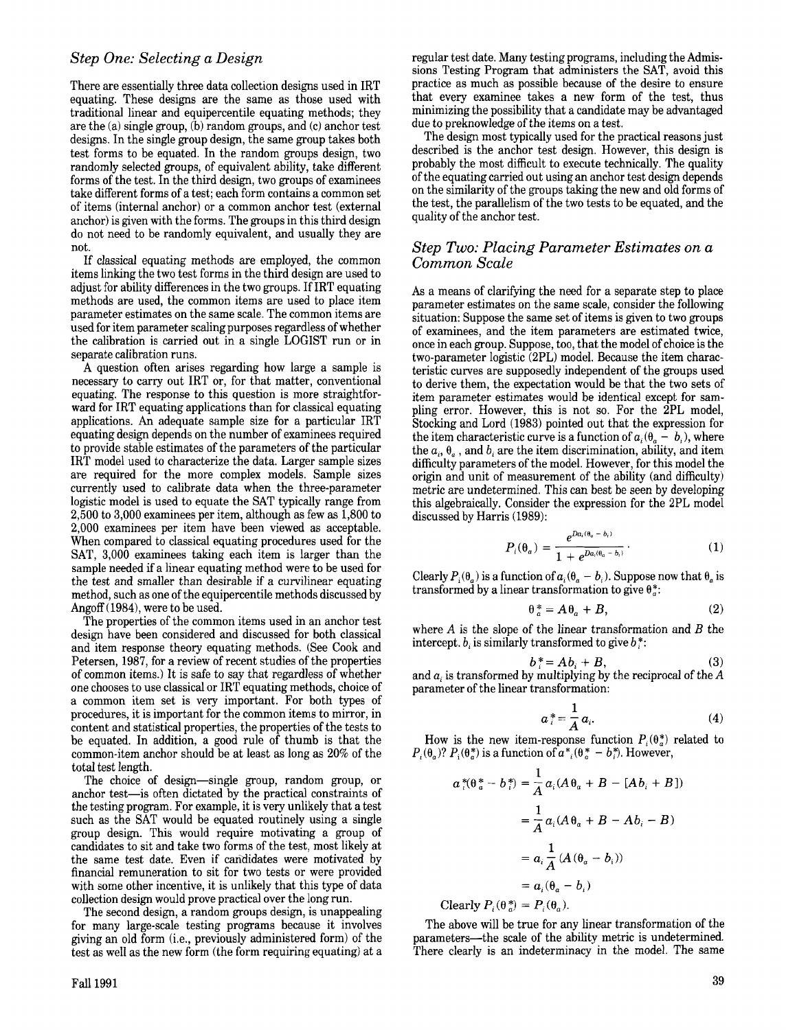#### *Step One: Selecting a Design*

There are essentially three data collection designs used in IRT equating. These designs are the same as those used with traditional linear and equipercentile equating methods; they are the (a) single group, (b) random groups, and (c) anchor test designs. In the single group design, the same group takes both test forms to be equated. In the random groups design, two randomly selected groups, of equivalent ability, take different forms of the test. In the third design, two groups of examinees take different forms of a test; each form contains a common set of items (internal anchor) or a common anchor test (external anchor) is given with the forms. The groups in this third design do not need to be randomly equivalent, and usually they are not.

If classical equating methods are employed, the common items linking the two test forms in the third design are used to adjust for ability differences in the two groups. If IRT equating methods are used, the common items are used to place item parameter estimates on the same scale. The common items are used for item parameter scaling purposes regardless of whether the calibration is carried out in a single LOGIST run or in separate calibration runs.

A question often arises regarding how large a sample is necessary to carry out IRT or, for that matter, conventional equating. The response to this question is more straightforward for IRT equating applications than for classical equating applications. An adequate sample size for a particular IRT equating design depends on the number of examinees required to provide stable estimates of the parameters of the particular IRT model used to characterize the data. Larger sample sizes are required for the more complex models. Sample sizes currently used to calibrate data when the three-parameter logistic model is used to equate the SAT typically range from 2,500 to 3,000 examinees per item, although as few **as** 1,800 to 2,000 examinees per item have been viewed as acceptable. When compared to classical equating procedures used for the SAT, 3,000 examinees taking each item is larger than the sample needed if a linear equating method were to be used for the test and smaller than desirable if a curvilinear equating method, such as one of the equipercentile methods discussed by Angoff  $(1984)$ , were to be used.

The properties of the common items used in an anchor test design have been considered and discussed for both classical and item response theory equating methods. (See Cook and Petersen, 1987, for a review of recent studies of the properties of common items.) It is safe to say that regardless of whether one chooses to use classical or IRT equating methods, choice of a common item set is very important. For both types of procedures, it is important for the common items to mirror, in content and statistical properties, the properties of the tests to be equated. In addition, a good rule of thumb is that the common-item anchor should be at least as long as 20% of the total test length.

The choice of design-single group, random group, or anchor test—is often dictated by the practical constraints of the testing program. For example, it is very unlikely that a test such as the SAT would be equated routinely using a single group design. This would require motivating a group of candidates to sit and take two forms of the test, most likely at the same test date. Even if candidates were motivated by financial remuneration to sit for two tests or were provided with some other incentive, it is unlikely that this type of data collection design would prove practical over the long run.

The second design, a random groups design, is unappealing for many large-scale testing programs because it involves giving an old form (i,e., previously administered form) of the test as well as the new form (the form requiring equating) at a regular test date. Many testing programs, including the Admissions Testing Program that administers the SAT, avoid this practice as much as possible because of the desire to ensure that every examinee takes a new form of the test, thus minimizing the possibility that a candidate may be advantaged due to preknowledge of the items on a test.

The design most typically used for the practical reasons just described is the anchor test design. However, this design is probably the most difficult to execute technically. The quality of the equating carried out using an anchor test design depends on the similarity of the groups taking the new and old forms of the test, the parallelism of the two tests to be equated, and the quality of the anchor test.

#### *Step Two: Placing Parameter Estimates on a Common Scale*

As a means of clarifying the need for a separate step to place parameter estimates on the same scale, consider the following situation: Suppose the same set of items is given to two groups of examinees, and the item parameters are estimated twice, once in each group. Suppose, too, that the model of choice is the two-parameter logistic (2PL) model. Because the item characteristic curves are supposedly independent of the groups used to derive them, the expectation would be that the two sets of item parameter estimates would be identical except for sampling error. However, this is not so. For the 2PL model, Stocking and Lord (1983) pointed out that the expression for the item characteristic curve is a function of  $a_i(\theta_a - b_i)$ , where the  $a_i$ ,  $\theta_a$ , and  $b_i$  are the item discrimination, ability, and item difficulty parameters of the model. However, for this model the origin and unit of measurement of the ability (and difficulty) metric are undetermined. This can best be seen by developing this algebraically. Consider the expression for the 2PL model discussed by Harris (1989):

$$
P_i(\theta_a) = \frac{e^{Da_i(\theta_a - b_i)}}{1 + e^{Da_i(\theta_a - b_i)}}.
$$
 (1)

Clearly  $P_i(\theta_a)$  is a function of  $a_i(\theta_a - b_i)$ . Suppose now that  $\theta_a$  is transformed by a linear transformation to give  $\theta_a^*$ :

$$
\theta_a^* = A \theta_a + B,\tag{2}
$$

where *A* is the slope of the linear transformation and *B* the intercept.  $b_i$  is similarly transformed to give  $b_i^*$ :

$$
b_i^* = Ab_i + B,\tag{3}
$$

and *a,* is transformed by multiplying by the reciprocal of the *A*  parameter of the linear transformation:

$$
a_i^* = \frac{1}{A} a_i. \tag{4}
$$

How is the new item-response function  $P_i(\theta_a^*)$  related to  $P_i(\theta_a)$ ?  $P_i(\theta_a^*)$  is a function of  $a^*_{i}(\theta_a^* - b_i^*)$ . However,

$$
a_i^*(\theta_a^* - b_i^*) = \frac{1}{A} a_i (A \theta_a + B - [A \theta_i + B])
$$
  

$$
= \frac{1}{A} a_i (A \theta_a + B - A \theta_i - B)
$$
  

$$
= a_i \frac{1}{A} (A (\theta_a - b_i))
$$
  

$$
= a_i (\theta_a - b_i)
$$

Clearly  $P_i(\theta_n^*) = P_i(\theta_n)$ .

The above will be true for any linear transformation of the parameters—the scale of the ability metric is undetermined. There clearly is an indeterminacy in the model. The same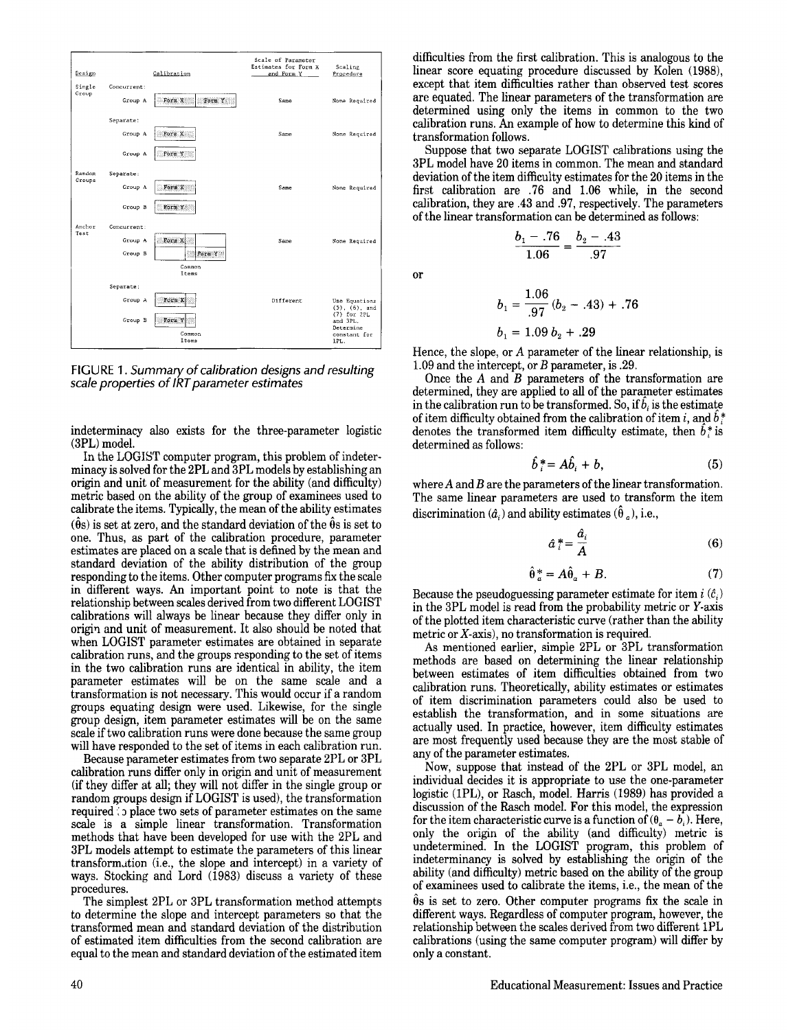

FlGU **RE** 1. *Summary of calibration designs and resulting scale properties of IRT parameter estimates* 

indeterminacy also exists for the three-parameter logistic (3PL) model.

In the LOGIST computer program, this problem of indeterminacy is solved for the 2PL and 3PL models by establishing an origin and unit of measurement for the ability (and difficulty) metric based on the ability of the group of examinees used to calibrate the items. Typically, the mean of the ability estimates  $(\hat{\theta}s)$  is set at zero, and the standard deviation of the  $\hat{\theta}s$  is set to one. Thus, as part of the calibration procedure, parameter estimates are placed on a scale that is defined by the mean and standard deviation of the ability distribution of the group responding to the items. Other computer programs fix the scale in different ways. **An** important point to note is that the relationship between scales derived from two different LOGIST calibrations will always be linear because they differ only in origin and unit of measurement. It also should be noted that when LOGIST parameter estimates are obtained in separate calibration runs, and the groups responding to the set of items in the two calibration runs are identical in ability, the item parameter estimates will be on the same scale and a transformation is not necessary. This would occur if a random groups equating design were used. Likewise, for the single group design, item parameter estimates will be on the same scale if two calibration runs were done because the same group will have responded to the set of items in each calibration run.

Because parameter estimates from two separate 2PL or 3PL calibration runs differ only in origin and unit of measurement (if they differ at all; they will not differ in the single group or random groups design if LOGIST is used), the transformation required : **3** place two sets of parameter estimates on the same scale is a simple linear transformation. Transformation methods that have been developed for use with the 2PL and 3PL models attempt to estimate the parameters of this linear transformation (i.e., the slope and intercept) in a variety of ways. Stocking and Lord (1983) discuss a variety of these procedures.

The simplest 2PL or 3PL transformation method attempts to determine the slope and intercept parameters so that the transformed mean and standard deviation of the distribution of estimated item difficulties from the second calibration are equal to the mean and standard deviation of the estimated item

difficulties from the first calibration. This is analogous to the linear score equating procedure discussed by Kolen (1988), except that item difficulties rather than observed test scores are equated. The linear parameters of the transformation are determined using only the items in common to the two calibration runs. **An** example of how to determine this kind of transformation follows.

Suppose that two separate LOGIST calibrations using the 3PL model have 20 items in common. The mean and standard deviation of the item difficulty estimates for the **20** items in the first calibration are .76 and 1.06 while, in the second calibration, they are .43 and .97, respectively. The parameters of the linear transformation can be determined as follows:

$$
\frac{b_1 - .76}{1.06} = \frac{b_2 - .43}{.97}
$$

or

$$
b_1 = \frac{1.06}{.97} (b_2 - .43) + .76
$$
  

$$
b_1 = 1.09 b_2 + .29
$$

Hence, the slope, or **A** parameter of the linear relationship, is 1.09 and the intercept, or *B* parameter, is .29.

Once the **A** and *B* parameters of the transformation are determined, they are applied to all of the parameter estimates in the calibration run to be transformed. So, if *b,* is the estimate of item difficulty obtained from the calibration of item *i*, and  $b_i^*$ denotes the transformed item difficulty estimate, then *b:* is determined **as** follows:

$$
\hat{b}_i^* = A\hat{b}_i + b,\tag{5}
$$

where **A** and *B* are the parameters of the linear transformation. The same linear parameters are used to transform the item discrimination  $(\hat{a}_i)$  and ability estimates  $(\hat{\theta}_a)$ , i.e.,

$$
\hat{a}_i^* = \frac{\hat{a}_i}{A} \tag{6}
$$

$$
\hat{\theta}_a^* = A\hat{\theta}_a + B. \tag{7}
$$

Because the pseudoguessing parameter estimate for item  $i(\hat{c}_i)$ in the 3PL model is read from the probability metric or *Y-axis*  of the plotted item characteristic curve (rather than the ability metric or X-axis), no transformation is required.

**As** mentioned earlier, simple 2PL or 3PL transformation methods are based on determining the linear relationship between estimates of item difficulties obtained from two calibration runs. Theoretically, ability estimates or estimates of item discrimination parameters could also be used to establish the transformation, and in some situations are actually used. In practice, however, item difficulty estimates are most frequently used because they are the most stable of any of the parameter estimates.

Now, suppose that instead of the 2PL or 3PL model, an individual decides it is appropriate to use the one-parameter logistic (lPL), or Rasch, model. Harris (1989) has provided a discussion of the Rasch model. For this model, the expression for the item characteristic curve is a function of  $(\theta_a - b_i)$ . Here, only the origin of the ability (and difficulty) metric is undetermined. In the LOGIST program, this problem of indeterminancy is solved by establishing the origin of the ability (and difficulty) metric based on the ability of the group of examinees used to calibrate the items, i.e., the mean of the **6s** is set to zero. Other computer programs fix the scale in different ways. Regardless of computer program, however, the relationship between the scales derived from two different 1PL calibrations (using the same computer program) will differ by only a constant.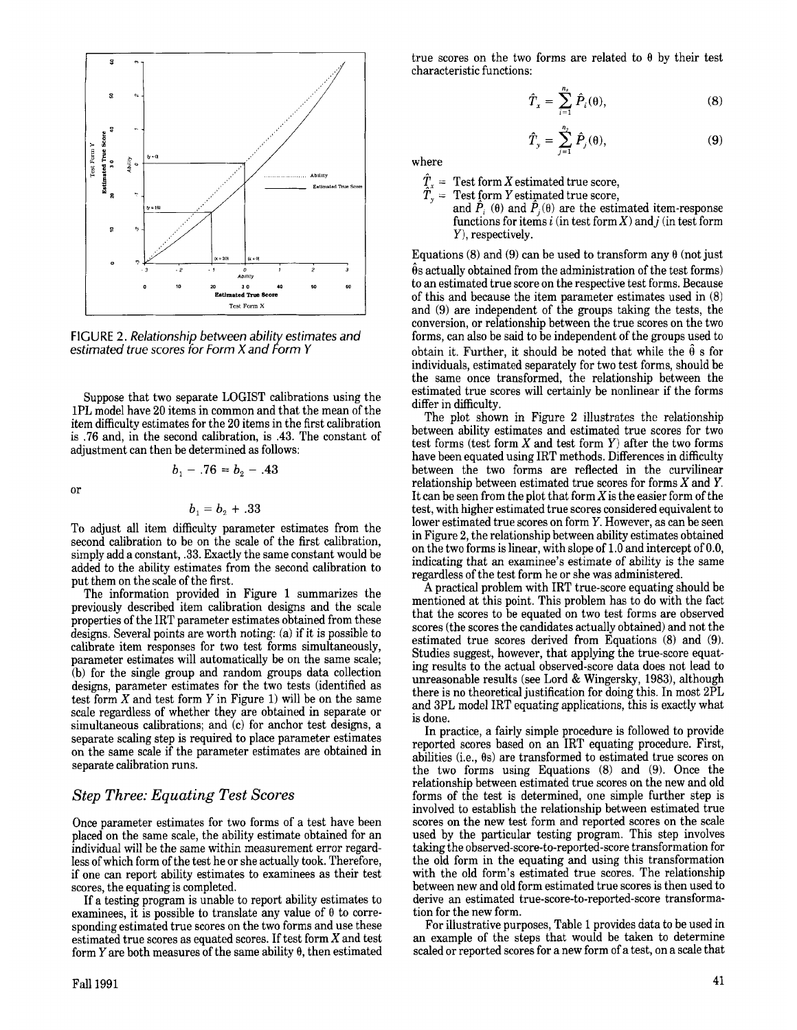

**FIGURE** *2. Relationship between ability estimates and estimated true scores for Form X and Form* Y

Suppose that two separate LOGIST calibrations using the 1PL model have 20 items in common and that the mean of the item difficulty estimates for the 20 items in the first calibration is .76 and, in the second calibration, is **.43.** The constant of adjustment can then be determined as follows:

or

$$
b_1 = b_2 + .33
$$

 $b_1 - .76 = b_2 - .43$ 

To adjust all item difficulty parameter estimates from the second calibration to be on the scale of the first calibration, simply add a constant, **.33.** Exactly the same constant would be added to the ability estimates from the second calibration to put them on the scale of the first.

The information provided in Figure **1** summarizes the previously described item calibration designs and the scale properties of the IRT parameter estimates obtained from these designs. Several points are worth noting: (a) if it is possible to calibrate item responses for two test forms simultaneously, parameter estimates will automatically be on the same scale; (b) for the single group and random groups data collection designs, parameter estimates for the two tests (identified as test form X and test form Y in Figure **1)** will be on the same scde regardless of whether they are obtained in separate or simultaneous calibrations; and (c) for anchor test designs, a separate scaling step is required to place parameter estimates on the same scale if the parameter estimates are obtained in separate calibration runs.

#### *Step Three: Equating Test Scores*

Once parameter estimates for two forms of a test have been placed on the same scale, the ability estimate obtained for an individual will be the same within measurement error regardless of which form of the test he or she actually took. Therefore, if one can report ability estimates to examinees as their test scores, the equating is completed.

If a testing program is unable to report ability estimates to examinees, it is possible to translate any value of  $\theta$  to corresponding estimated true scores on the two forms and use these estimated true scores as equated scores. If test form  $X$  and test form Y are both measures of the same ability  $\theta$ , then estimated true scores on the two forms are related to  $\theta$  by their test characteristic functions:

$$
\hat{T}_x = \sum_{i=1}^{n_x} \hat{P}_i(\theta), \tag{8}
$$

$$
\hat{T}_y = \sum_{j=1}^{n_y} \hat{P}_j(\theta),\tag{9}
$$

where

 $\hat{T}_x$  = Test form X estimated true score,

 $\widetilde{T}_y =$  Test form *Y* estimated true score, and  $\hat{P}_i$  ( $\theta$ ) and  $\hat{P}_j(\theta)$  are the estimated item-response functions for items  $i$  (in test form  $X$ ) and  $j$  (in test form *Y),* respectively.

Equations (8) and (9) can be used to transform any  $\theta$  (not just  $\hat{\theta}$ s actually obtained from the administration of the test forms) to an estimated true score on the respective test forms. Because of this and because the item parameter estimates used in (8) and (9) are independent of the groups taking the tests, the conversion, or relationship between the true scores on the two forms, can also be said to be independent of the groups used to obtain it. Further, it should be noted that while the  $\hat{\theta}$  s for individuals, estimated separately for two test forms, should be the same once transformed, the relationship between the estimated true scores will certainly be nonlinear if the forms differ in difficulty.

The plot shown in Figure **2** illustrates the relationship between ability estimates and estimated true scores for two test forms (test form  $X$  and test form  $Y$ ) after the two forms have been equated using IRT methods. Differences in difficulty between the two forms are reflected in the curvilinear relationship between estimated true scores for forms X and Y. It can be seen from the plot that form  $X$  is the easier form of the test, with higher estimated true scores considered equivalent to lower estimated true scores on form Y. However, as can be seen in Figure **2,** the relationship between ability estimates obtained on the two forms is linear, with slope of **1.0** and intercept of 0.0, indicating that an examinee's estimate of ability is the same regardless of the test form he or she was administered.

**A** practical problem with IRT true-score equating should be mentioned at this point. This problem has to do with the fact that the scores to be equated on two test forms are observed scores (the scores the candidates actually obtained) and not the estimated true scores derived from Equations (8) and **(9).**  Studies suggest, however, that applying the true-score equating results to the actual observed-score data does not lead to unreasonable results (see Lord & Wingersky, **1983),** although there is no theoretical justification for doing this. In most 2PL and 3PL model IRT equating applications, this is exactly what is done.

In practice, a fairly simple procedure is followed to provide reported scores based on an IRT equating procedure. First, abilities (i.e.,  $\theta$ s) are transformed to estimated true scores on the two forms using Equations (8) and **(9).** Once the relationship between estimated true scores on the new and old forms of the test is determined, one simple further step is involved to establish the relationship between estimated true scores on the new test form and reported scores on the scale used by the particular testing program. This step involves taking the observed-score-to-reported-score transformation for the old form in the equating and using this transformation with the old form's estimated true scores. The relationship between new and old form estimated true scores is then used to derive an estimated true-score-to-reported-score transformation for the new form.

For illustrative purposes, Table 1 provides data to be used in an example of the steps that would be taken to determine scaled or reported scores for a new form of a test, on a scale that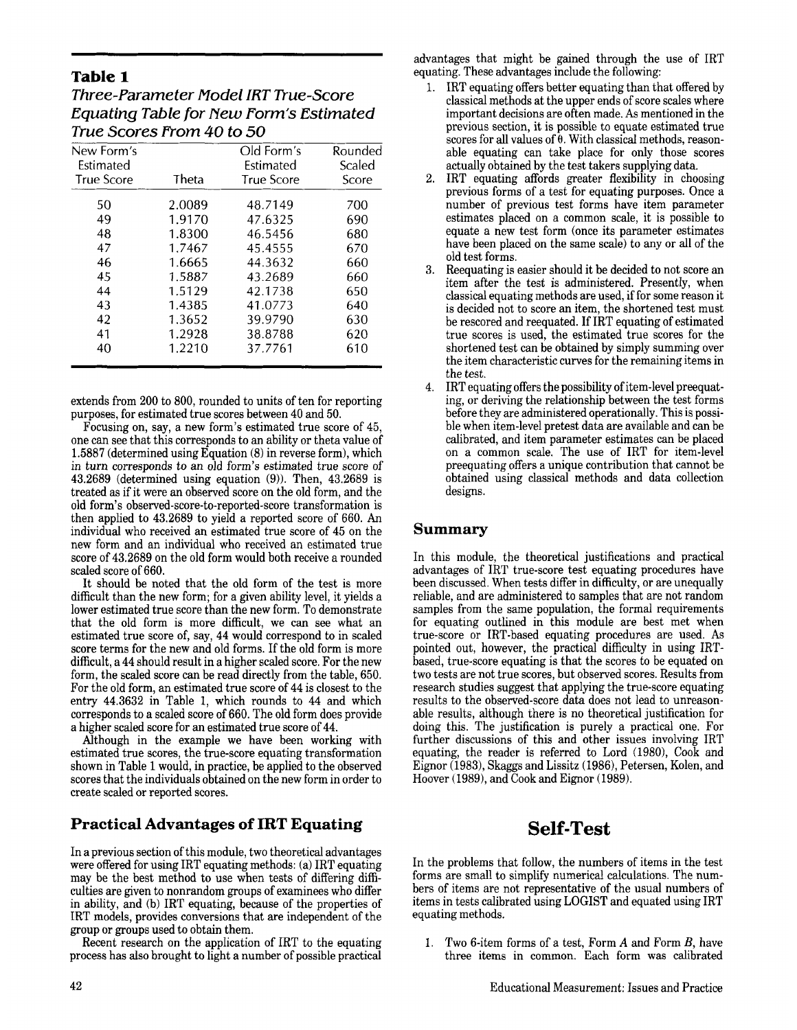#### **Table 1**

## *Three-Parameter Model IRT ZTue-Score Equating Table for New Form's Estimated True Scores From 40 to 50*

| New Form's        |        | Old Form's        | Rounded |
|-------------------|--------|-------------------|---------|
| Estimated         |        | <b>Fstimated</b>  | Scaled  |
| <b>True Score</b> | Theta  | <b>True Score</b> | Score   |
| 50                | 2.0089 | 48.7149           | 700     |
| 49                | 1.9170 | 47.6325           | 690     |
| 48                | 1.8300 | 46.5456           | 680     |
| 47                | 1.7467 | 45.4555           | 670     |
| 46                | 1.6665 | 44.3632           | 660     |
| 45                | 1.5887 | 43.2689           | 660     |
| 44                | 1.5129 | 42.1738           | 650     |
| 43                | 1.4385 | 41.0773           | 640     |
| 42                | 1.3652 | 39.9790           | 630     |
| 41                | 1.2928 | 38.8788           | 620     |
| 40                | 1.2210 | 37.7761           | 610     |

extends from **200** to 800, rounded to units of ten for reporting purposes, for estimated true scores between **40** and 50.

Focusing on, say, a new form's estimated true score of **45,**  one can see that this corresponds to an ability or theta value of 1.5887 (determined using Equation (8) in reverse form), which in turn corresponds to an old form's estimated true score of **43.2689** (determined using equation **(9)).** Then, **43.2689** is treated as if it were an observed score on the old form, and the old form's observed-score-to-reported-score transformation is then applied to **43.2689** to yield a reported score of **660.** An individual who received an estimated true score of **45** on the new form and an individual who received an estimated true score of **43.2689** on the old form would both receive a rounded scaled score of **660.** 

It should be noted that the old form of the test is more difficult than the new form; for a given ability level, it yields a lower estimated true score than the new form. To demonstrate that the old form is more difficult, we can see what an estimated true score of, say, **44** would correspond to in scaled score terms for the new and old forms. If the old form is more difficult, **a44** should result in a higher scaled score. For the new form, the scaled score can be read directly from the table, **650.**  For the old form, an estimated true score of **44** is closest to the entry **44.3632** in Table **1,** which rounds to **44** and which corresponds to a scaled score of **660.** The old form does provide a higher scaled score for an estimated true score of **44.** 

Although in the example we have been working with estimated true scores, the true-score equating transformation shown in Table 1 would, in practice, be applied to the observed scores that the individuals obtained on the new form in order to create scaled or reported scores.

### **Practical Advantages of IRT Equating**

In a previous section of this module, two theoretical advantages were offered for using IRT equating methods: (a) IRT equating may be the best method to use when tests of differing difficulties are given to nonrandom groups of examinees who differ in ability, and (b) IRT equating, because of the properties of IRT models, provides conversions that are independent of the group or groups used to obtain them.

Recent research on the application of IRT to the equating process has also brought to light a number of possible practical

advantages that might be gained through the use of IRT equating. These advantages include the following:

- 1. IRT equating offers better equating than that offered by classical methods at the upper ends of score scales where important decisions are often made. As mentioned in the previous section, it is possible to equate estimated true scores for all values of **8.** With classical methods, reasonable equating can take place for only those scores actually obtained by the test takers supplying data.
- IRT equating affords greater flexibility in choosing  $2.$ previous forms of a test for equating purposes. Once a number of previous test forms have item parameter estimates placed on a common scale, it is possible to equate a new test form (once its parameter estimates have been placed on the same scale) to any or all of the old test forms.
- Reequating is easier should it be decided to not score an item after the test is administered. Presently, when classical equating methods are used, if for some reason it is decided not to score an item, the shortened test must be rescored and reequated. If IRT equating of estimated true scores is used, the estimated true scores for the shortened test can be obtained by simply summing over the item characteristic curves for the remaining items in the test.
- IRT equating offers the possibility of item-level preequat- $4<sup>1</sup>$ ing, or deriving the relationship between the test forms before they are administered operationally. This is possible when item-level pretest data are available and can be calibrated, and item parameter estimates can be placed on a common scale. The use of IRT for item-level preequating offers a unique contribution that cannot be obtained using classical methods and data collection designs.

#### **Summary**

In this module, the theoretical justifications and practical advantages of IRT true-score test equating procedures have been discussed. When tests differ in difficulty, or are unequally reliable, and are administered to samples that are not random samples from the same population, the formal requirements for equating outlined in this module are best met when true-score or IRT-based equating procedures are used. As pointed out, however, the practical difficulty in using IRTbased, true-score equating is that the scores to be equated on two tests are not true scores, but observed scores. Results from research studies suggest that applying the true-score equating results to the observed-score data does not lead to unreasonable results, although there is no theoretical justification for doing this. The justification is purely a practical one. For further discussions of this and other issues involving IRT equating, the reader is referred to Lord (1980), Cook and Eignor **(19831,** Skaggs and Lissitz **(1986),** Petersen, Kolen, and Hoover **(19891,** and Cook and Eignor **(1989).** 

# **Self-Test**

In the problems that follow, the numbers of items in the test forms are small to simplify numerical calculations. The numbers of items are not representative of the usual numbers of items in tests calibrated using LOGIST and equated using IRT equating methods.

1. Two 6-item forms of a test, Form *A* and Form *B,* have three items in common. Each form was calibrated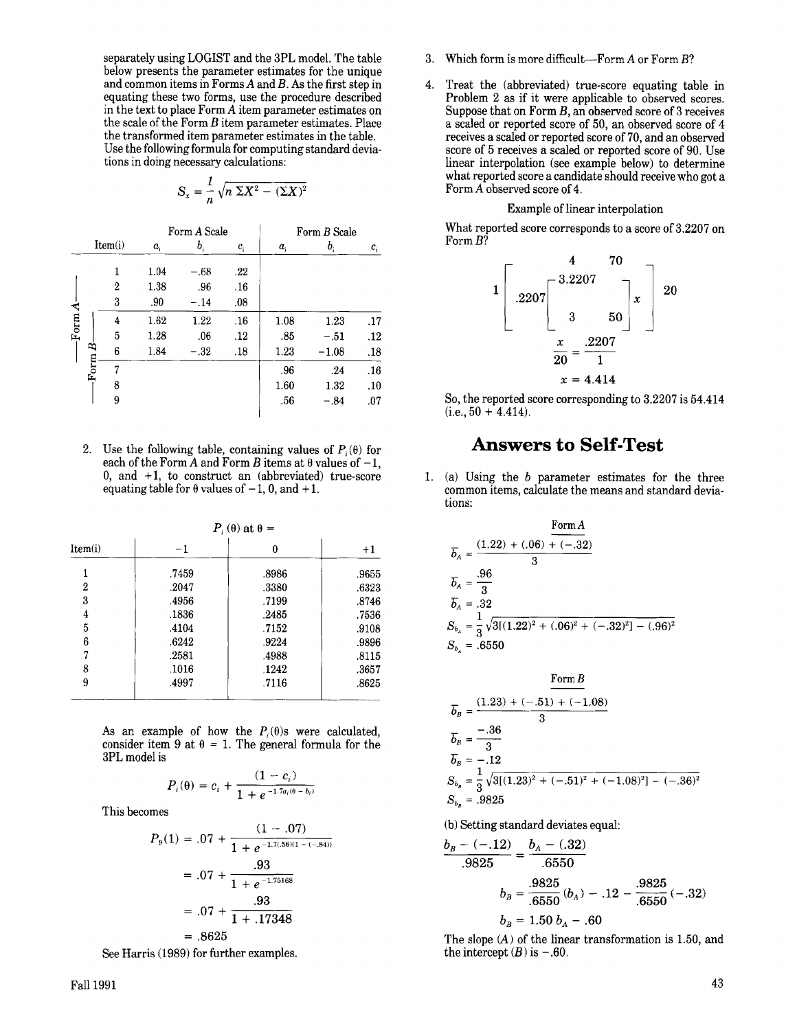separately using LOGIST and the **3PL** model. The table below presents the parameter estimates for the unique and common items in Forms **A** and *B.* As the first step in equating these two forms, use the procedure described in the text to place Form **A** item parameter estimates on the scale of the Form *B* item parameter estimates. Place the transformed item parameter estimates in the table. Use the following formula for computing standard deviations in doing necessary calculations:

$$
S_x = \frac{1}{n} \sqrt{n \Sigma X^2 - (\Sigma X)^2}
$$

|      | $a_i$   | b,     | $c_{\rm i}$ | $a_i$        | b,      | $c_i$        |
|------|---------|--------|-------------|--------------|---------|--------------|
|      | 1.04    | $-.68$ | .22         |              |         |              |
| 2    | 1.38    | .96    | .16         |              |         |              |
| 3    | .90     | $-.14$ | .08         |              |         |              |
| 4    | 1.62    | 1.22   | .16         | 1.08         | 1.23    | .17          |
| 5    | 1.28    | .06    | $.12\,$     | .85          | $-.51$  | .12          |
| 6    | 1.84    | $-.32$ | .18         | 1.23         | $-1.08$ | .18          |
| 7    |         |        |             | .96          | .24     | .16          |
| 8    |         |        |             | 1.60         | 1.32    | .10          |
| 9    |         |        |             | .56          | $-.84$  | .07          |
| Form | Item(i) |        |             | Form A Scale |         | Form B Scale |

2. Use the following table, containing values of  $P_i(\theta)$  for each of the Form A and Form B items at  $\theta$  values of  $-1$ , 0, and **tl,** to construct an (abbreviated) true-score equating table for  $\theta$  values of  $-1$ , 0, and  $+1$ .

| $+1$  |
|-------|
| .9655 |
| .6323 |
| .8746 |
| .7536 |
| .9108 |
| .9896 |
| .8115 |
| .3657 |
| .8625 |
|       |

As an example of how the  $P_i(\theta)$ s were calculated, consider item 9 at  $\theta = 1$ . The general formula for the **3PL** model is

$$
P_i(\theta) = c_i + \frac{(1 - c_i)}{1 + e^{-1.7a_i(\theta - b_i)}}
$$

This becomes

omes  
\n
$$
P_9(1) = .07 + \frac{(1-.07)}{1+e^{-1.7(.56)(1-(-.84))}}
$$
\n
$$
= .07 + \frac{.93}{1+e^{-1.75168}}
$$
\n
$$
= .07 + \frac{.93}{1+.17348}
$$
\n
$$
= .8625
$$

See Harris **(1989)** for further examples.

- **3.** Which form is more difficult-Form **A** or Form *B?*
- **4.** Treat the (abbreviated) true-score equating table in Problem **2** as if it were applicable to observed scores. Suppose that on Form *B,* an observed score of **3** receives a scaled or reported score of *50,* an observed score of **4**  receives a scaled or reported score of **70,** and an observed score of **5** receives a scaled or reported score of **90.** Use linear interpolation (see example below) to determine what reported score a candidate should receive who got a Form **A** observed score of **4.**

#### Example of linear interpolation

What reported score corresponds to a score of **3.2207** on Form *B?* 



So, the reported score corresponding to **3.2207** is **54.414**   $(i.e., 50 + 4.414).$ 

## **Answers to Self-Test**

**1.** (a) Using the *b* parameter estimates for the three common items, calculate the means and standard deviations:

$$
\overline{b}_A = \frac{(1.22) + (.06) + (-.32)}{3}
$$
  
\n
$$
\overline{b}_A = \frac{.96}{3}
$$
  
\n
$$
\overline{b}_A = .32
$$
  
\n
$$
S_{b_A} = \frac{1}{3} \sqrt{3[(1.22)^2 + (.06)^2 + (-.32)^2] - (.96)^2}
$$
  
\n
$$
S_{b_A} = .6550
$$

$$
\frac{\text{Form }B}{\overline{b}_B} = \frac{(1.23) + (-.51) + (-1.08)}{3}
$$
\n
$$
\overline{b}_B = \frac{-.36}{3}
$$
\n
$$
\overline{b}_B = -.12
$$
\n
$$
S_{b_B} = \frac{1}{3} \sqrt{3[(1.23)^2 + (-.51)^2 + (-1.08)^2] - (-.36)^2}
$$
\n
$$
S_{b_B} = .9825
$$

(b) Setting standard deviates equal:

(b) Setting standard deviates equal:  
\n
$$
\frac{b_B - (-.12)}{.9825} = \frac{b_A - (.32)}{.6550}
$$
\n
$$
b_B = \frac{.9825}{.6550} (b_A) - .12 - \frac{.9825}{.6550} (-.32)
$$
\n
$$
b_B = 1.50 b_A - .60
$$

The slope **(A)** of the linear transformation is **1.50,** and the intercept  $(B)$  is  $-.60$ .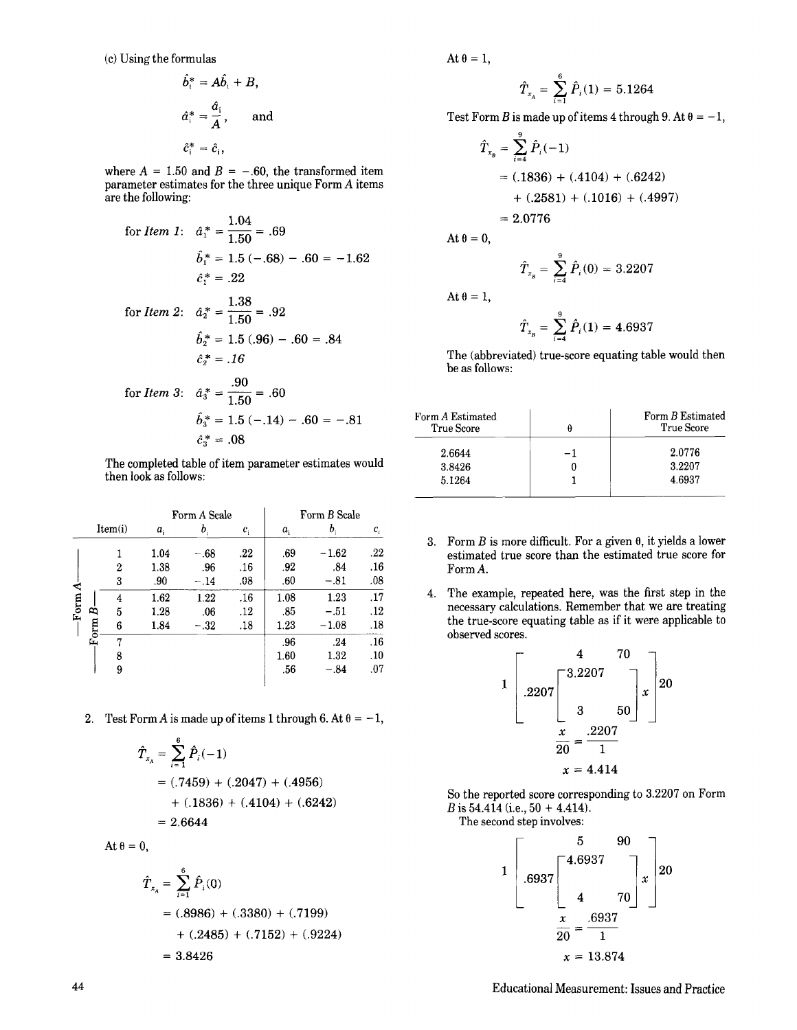(c) Using the formulas

$$
\hat{b}_{i}^{*} = A\hat{b}_{i} + B,
$$
  

$$
\hat{a}_{i}^{*} = \frac{\hat{a}_{i}}{A}, \text{ and}
$$
  

$$
\hat{c}_{i}^{*} = \hat{c}_{i},
$$

where  $A = 1.50$  and  $B = -.60$ , the transformed item parameter estimates for the three unique Form **A** items are the following: re  $A = 1.50$  and  $B = -.60$ , the<br>umeter estimates for the three un<br>the following:<br>for *Item 1*:  $\hat{a}_1^* = \frac{1.04}{1.50} = .69$ 

for *Item 1*: 
$$
\hat{a}_1^* = \frac{1.04}{1.50} = .69
$$
  
\n $\hat{b}_1^* = 1.5(-.68) - .60 = -1.62$   
\n $\hat{c}_1^* = .22$   
\nfor *Item 2*:  $\hat{a}_2^* = \frac{1.38}{1.50} = .92$   
\n $\hat{b}_2^* = 1.5(.96) - .60 = .84$   
\n $\hat{c}_2^* = .16$   
\nfor *Item 3*:  $\hat{a}_3^* = \frac{.90}{1.50} = .60$   
\n $\hat{b}_3^* = 1.5(-.14) - .60 = -.81$   
\n $\hat{c}_3^* = .08$ 

The completed table of item parameter estimates would then look as follows:

|        |      |         | Form A Scale |        |         | Form B Scale |         |         |
|--------|------|---------|--------------|--------|---------|--------------|---------|---------|
|        |      | Item(i) | $a_i$        | b,     | $c_{i}$ | $a_i$        | $b_{i}$ | $c_{i}$ |
|        |      |         | 1.04         | $-.68$ | .22     | .69          | $-1.62$ | .22     |
|        |      | 2       | 1.38         | .96    | .16     | .92          | .84     | .16     |
|        |      | 3       | .90          | $-.14$ | .08     | .60          | $-.81$  | .08     |
| Form A |      | 4       | 1.62         | 1.22   | .16     | 1.08         | 1.23    | .17     |
|        | ∞    | 5       | 1.28         | .06    | .12     | .85          | $-.51$  | $.12\,$ |
|        | Form | 6       | 1.84         | $-.32$ | .18     | 1.23         | $-1.08$ | .18     |
|        |      | 7       |              |        |         | .96          | .24     | .16     |
|        |      | 8       |              |        |         | 1.60         | 1.32    | .10     |
|        |      | 9       |              |        |         | .56          | $-.84$  | .07     |
|        |      |         |              |        |         |              |         |         |

2. Test Form A is made up of items 1 through 6. At  $\theta = -1$ ,

$$
\hat{T}_{x_A} = \sum_{i=1}^{6} \hat{P}_i(-1)
$$
  
= (.7459) + (.2047) + (.4956)  
+ (.1836) + (.4104) + (.6242)  
= 2.6644

$$
At \theta = 0,
$$

$$
\hat{T}_{x_A} = \sum_{i=1}^{6} \hat{P}_i(0)
$$
  
= (.8986) + (.3380) + (.7199)  
+ (.2485) + (.7152) + (.9224)  
= 3.8426

At  $\theta = 1$ ,

$$
\hat{T}_{x_A} = \sum_{i=1}^{6} \hat{P}_i(1) = 5.1264
$$

Test Form *B* is made up of items 4 through 9. At  $\theta = -1$ ,

$$
\hat{T}_{x_B} = \sum_{i=4}^{9} \hat{P}_i(-1)
$$
  
= (.1836) + (.4104) + (.6242)  
+ (.2581) + (.1016) + (.4997)  
= 2.0776

At  $\theta=0$ ,

At  $\theta = 1$ ,

$$
\hat{T}_{x_B} = \sum_{i=4}^{9} \hat{P}_i(0) = 3.2207
$$

$$
\hat{T}_{x_B} = \sum_{i=4}^{9} \hat{P}_i(1) = 4.6937
$$

The (abbreviated) true-score equating table would then be as follows:

| Form A Estimated<br>True Score | Form B Estimated<br>True Score |  |
|--------------------------------|--------------------------------|--|
| 2.6644                         | 2.0776                         |  |
| 3.8426                         | 3.2207                         |  |
| 5.1264                         | 4.6937                         |  |
|                                |                                |  |

- 3. Form *B* is more difficult. For a given **8,** it yields a lower estimated true score than the estimated true score for Form **A.**
- **4.** The example, repeated here, was the first step in the necessary calculations. Remember that we are treating the true-score equating table as if it were applicable to observed scores.

$$
1\left[\begin{array}{c}4 & 70\\2207 & 3.2207\\3 & 50\end{array}\right] x
$$

$$
\frac{x}{20} = \frac{.2207}{1}
$$

$$
x = 4.414
$$

So the reported score corresponding to 3.2207 on Form B is  $54.414$  (i.e.,  $50 + 4.414$ ). The second step involves:

$$
1\begin{bmatrix}5 & 90 \\ .6937 & 4.6937 \\ 4 & 70\end{bmatrix}x\begin{bmatrix}20 \\ x \\ 20 \end{bmatrix}
$$

$$
\frac{x}{20} = \frac{.6937}{1}
$$

$$
x = 13.874
$$

44 Educational Measurement: Issues and Practice